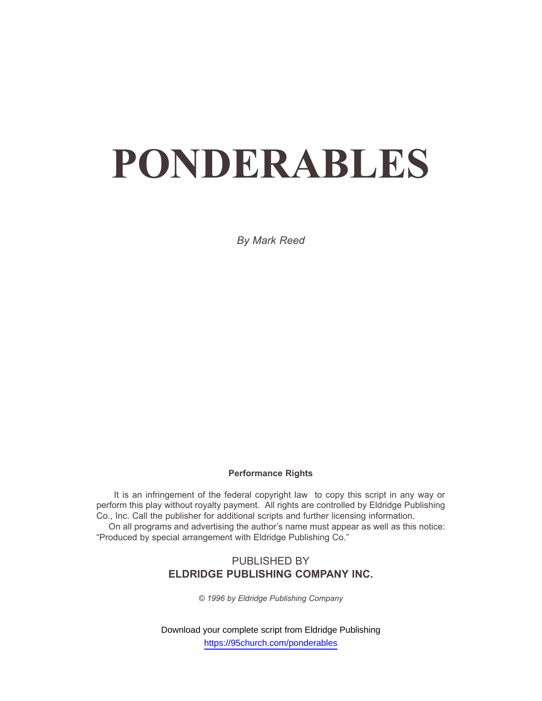*By Mark Reed*

#### **Performance Rights**

It is an infringement of the federal copyright law to copy this script in any way or perform this play without royalty payment. All rights are controlled by Eldridge Publishing Co., Inc. Call the publisher for additional scripts and further licensing information. On all programs and advertising the author's name must appear as well as this notice: "Produced by special arrangement with Eldridge Publishing Co."

## PUBLISHED BY **ELDRIDGE PUBLISHING COMPANY INC.**

*© 1996 by Eldridge Publishing Company*

Download your complete script from Eldridge Publishing https://95church.com/ponderables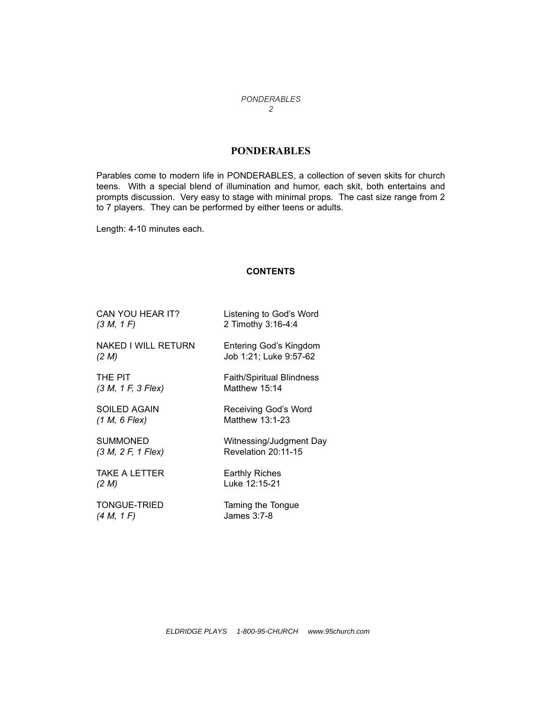### **PONDERABLES**

Parables come to modern life in PONDERABLES, a collection of seven skits for church teens. With a special blend of illumination and humor, each skit, both entertains and prompts discussion. Very easy to stage with minimal props. The cast size range from 2 to 7 players. They can be performed by either teens or adults.

Length: 4-10 minutes each.

#### **CONTENTS**

| CAN YOU HEAR IT?           | Listening to God's Word          |
|----------------------------|----------------------------------|
| (3 M, 1 F)                 | 2 Timothy 3:16-4:4               |
| <b>NAKED I WILL RETURN</b> | Entering God's Kingdom           |
| (2 M)                      | Job 1:21; Luke 9:57-62           |
| THE PIT                    | <b>Faith/Spiritual Blindness</b> |
| (3 M, 1 F, 3 Flex)         | Matthew 15:14                    |
| <b>SOILED AGAIN</b>        | Receiving God's Word             |
| (1 M, 6 Flex)              | Matthew 13:1-23                  |
| <b>SUMMONED</b>            | Witnessing/Judgment Day          |
| (3 M, 2 F, 1 Flex)         | Revelation 20:11-15              |
| <b>TAKE A LETTER</b>       | <b>Earthly Riches</b>            |
| (2 M)                      | Luke 12:15-21                    |
| TONGUE-TRIED               | Taming the Tongue                |

*(4 M, 1 F)* James 3:7-8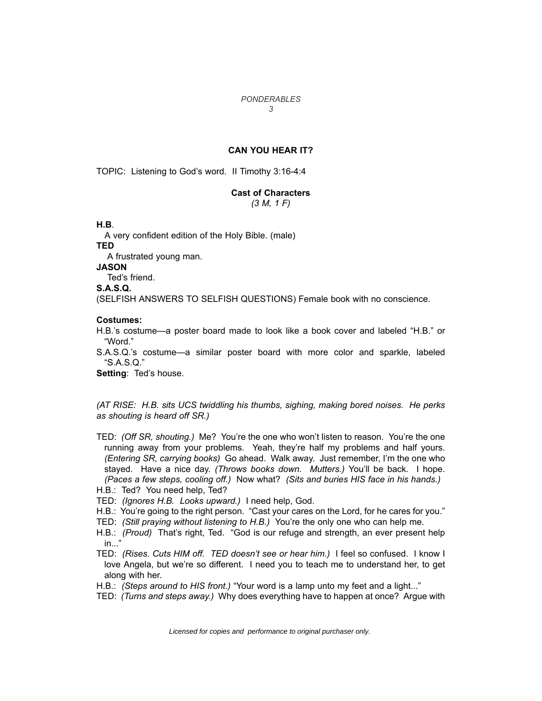#### **CAN YOU HEAR IT?**

TOPIC: Listening to Godís word. II Timothy 3:16-4:4

# **Cast of Characters**

*(3 M, 1 F)*

**H.B**.

A very confident edition of the Holy Bible. (male)

**TED**

A frustrated young man.

#### **JASON**

Ted's friend.

**S.A.S.Q.**

(SELFISH ANSWERS TO SELFISH QUESTIONS) Female book with no conscience.

#### **Costumes:**

H.B.'s costume—a poster board made to look like a book cover and labeled "H.B." or ìWord.î

S.A.S.Q.'s costume—a similar poster board with more color and sparkle, labeled  $S.A.S.Q.''$ 

**Setting: Ted's house.** 

*(AT RISE: H.B. sits UCS twiddling his thumbs, sighing, making bored noises. He perks as shouting is heard off SR.)*

TED: *(Off SR, shouting.)* Me? Youíre the one who wonít listen to reason. Youíre the one running away from your problems. Yeah, they're half my problems and half yours. *(Entering SR, carrying books)* Go ahead. Walk away. Just remember, Iím the one who stayed. Have a nice day. *(Throws books down. Mutters.)* Youíll be back. I hope. *(Paces a few steps, cooling off.)* Now what? *(Sits and buries HIS face in his hands.)*

H.B.: Ted? You need help, Ted?

- TED: *(Ignores H.B. Looks upward.)* I need help, God.
- H.B.: You're going to the right person. "Cast your cares on the Lord, for he cares for you."
- TED: *(Still praying without listening to H.B.)* Youíre the only one who can help me.
- H.B.: *(Proud)* That's right, Ted. "God is our refuge and strength, an ever present help  $in...$
- TED: *(Rises. Cuts HIM off. TED doesnít see or hear him.)* I feel so confused. I know I love Angela, but we're so different. I need you to teach me to understand her, to get along with her.
- H.B.: *(Steps around to HIS front.)* "Your word is a lamp unto my feet and a light..."
- TED: *(Turns and steps away.)* Why does everything have to happen at once? Argue with

Licensed for copies and performance to original purchaser only.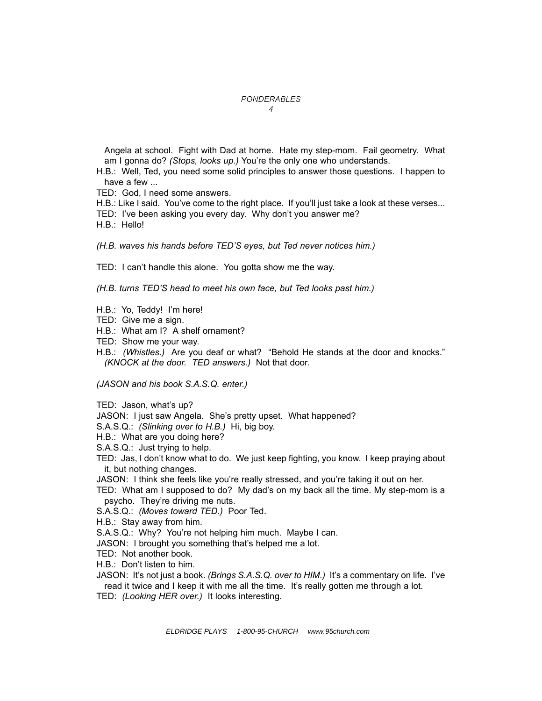Angela at school. Fight with Dad at home. Hate my step-mom. Fail geometry. What am I gonna do? *(Stops, looks up.)* Youíre the only one who understands.

H.B.: Well, Ted, you need some solid principles to answer those questions. I happen to have a few ...

- TED: God, I need some answers.
- H.B.: Like I said. You've come to the right place. If you'll just take a look at these verses...
- TED: I've been asking you every day. Why don't you answer me?
- H.B.: Hello!

*(H.B. waves his hands before TEDíS eyes, but Ted never notices him.)*

TED: I canít handle this alone. You gotta show me the way.

*(H.B. turns TEDíS head to meet his own face, but Ted looks past him.)*

- H.B.: Yo, Teddy! Iím here!
- TED: Give me a sign.
- H.B.: What am I? A shelf ornament?
- TED: Show me your way.
- H.B.: *(Whistles.)* Are you deaf or what? "Behold He stands at the door and knocks." *(KNOCK at the door. TED answers.)* Not that door.

*(JASON and his book S.A.S.Q. enter.)*

TED: Jason, what's up?

- JASON: I just saw Angela. She's pretty upset. What happened?
- S.A.S.Q.: *(Slinking over to H.B.)* Hi, big boy.
- H.B.: What are you doing here?
- S.A.S.Q.: Just trying to help.
- TED: Jas, I donít know what to do. We just keep fighting, you know. I keep praying about it, but nothing changes.
- JASON: I think she feels like you're really stressed, and you're taking it out on her.
- TED: What am I supposed to do? My dad's on my back all the time. My step-mom is a psycho. They're driving me nuts.
- S.A.S.Q.: *(Moves toward TED.)* Poor Ted.
- H.B.: Stay away from him.
- S.A.S.Q.: Why? You're not helping him much. Maybe I can.
- JASON: I brought you something that's helped me a lot.
- TED: Not another book.
- H.B.: Don't listen to him.
- JASON: It's not just a book. *(Brings S.A.S.Q. over to HIM.)* It's a commentary on life. I've read it twice and I keep it with me all the time. It's really gotten me through a lot.
- TED: *(Looking HER over.)* It looks interesting.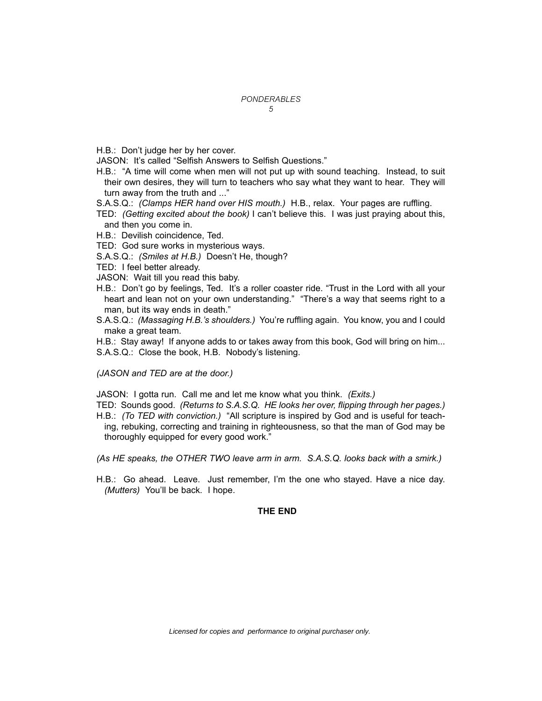- H.B.: Don't judge her by her cover.
- JASON: It's called "Selfish Answers to Selfish Questions."
- H.B.: "A time will come when men will not put up with sound teaching. Instead, to suit their own desires, they will turn to teachers who say what they want to hear. They will turn away from the truth and ..."
- S.A.S.Q.: *(Clamps HER hand over HIS mouth.)* H.B., relax. Your pages are ruffling.
- TED: *(Getting excited about the book)* I canít believe this. I was just praying about this, and then you come in.
- H.B.: Devilish coincidence, Ted.
- TED: God sure works in mysterious ways.
- S.A.S.Q.: *(Smiles at H.B.)* Doesnít He, though?
- TED: I feel better already.
- JASON: Wait till you read this baby.
- H.B.: Don't go by feelings, Ted. It's a roller coaster ride. "Trust in the Lord with all your heart and lean not on your own understanding." "There's a way that seems right to a man, but its way ends in death."
- S.A.S.Q.: *(Massaging H.B.ís shoulders.)* Youíre ruffling again. You know, you and I could make a great team.

H.B.: Stay away! If anyone adds to or takes away from this book, God will bring on him... S.A.S.Q.: Close the book, H.B. Nobody's listening.

*(JASON and TED are at the door.)*

JASON: I gotta run. Call me and let me know what you think. *(Exits.)*

- TED: Sounds good. *(Returns to S.A.S.Q. HE looks her over, flipping through her pages.)*
- H.B.: *(To TED with conviction.)* "All scripture is inspired by God and is useful for teaching, rebuking, correcting and training in righteousness, so that the man of God may be thoroughly equipped for every good work."

*(As HE speaks, the OTHER TWO leave arm in arm. S.A.S.Q. looks back with a smirk.)*

H.B.: Go ahead. Leave. Just remember, Iím the one who stayed. Have a nice day. *(Mutters)* You'll be back. I hope.

#### **THE END**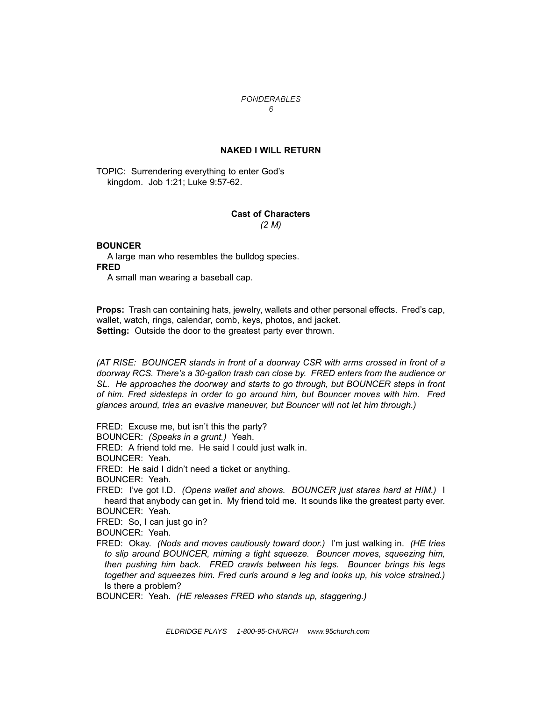#### **NAKED I WILL RETURN**

TOPIC: Surrendering everything to enter God's kingdom. Job 1:21; Luke 9:57-62.

#### **Cast of Characters** *(2 M)*

#### **BOUNCER**

A large man who resembles the bulldog species. **FRED** 

A small man wearing a baseball cap.

**Props:** Trash can containing hats, jewelry, wallets and other personal effects. Fredís cap, wallet, watch, rings, calendar, comb, keys, photos, and jacket. **Setting:** Outside the door to the greatest party ever thrown.

*(AT RISE: BOUNCER stands in front of a doorway CSR with arms crossed in front of a doorway RCS. Thereís a 30-gallon trash can close by. FRED enters from the audience or SL. He approaches the doorway and starts to go through, but BOUNCER steps in front of him. Fred sidesteps in order to go around him, but Bouncer moves with him. Fred glances around, tries an evasive maneuver, but Bouncer will not let him through.)*

FRED: Excuse me, but isn't this the party?

BOUNCER: *(Speaks in a grunt.)* Yeah.

FRED: A friend told me. He said I could just walk in.

BOUNCER: Yeah.

FRED: He said I didn't need a ticket or anything.

BOUNCER: Yeah.

FRED: Iíve got I.D. *(Opens wallet and shows. BOUNCER just stares hard at HIM.)* I heard that anybody can get in. My friend told me. It sounds like the greatest party ever. BOUNCER: Yeah.

FRED: So, I can just go in?

BOUNCER: Yeah.

FRED: Okay. *(Nods and moves cautiously toward door.)* Iím just walking in. *(HE tries to slip around BOUNCER, miming a tight squeeze. Bouncer moves, squeezing him, then pushing him back. FRED crawls between his legs. Bouncer brings his legs together and squeezes him. Fred curls around a leg and looks up, his voice strained.)* Is there a problem?

BOUNCER: Yeah. *(HE releases FRED who stands up, staggering.)*